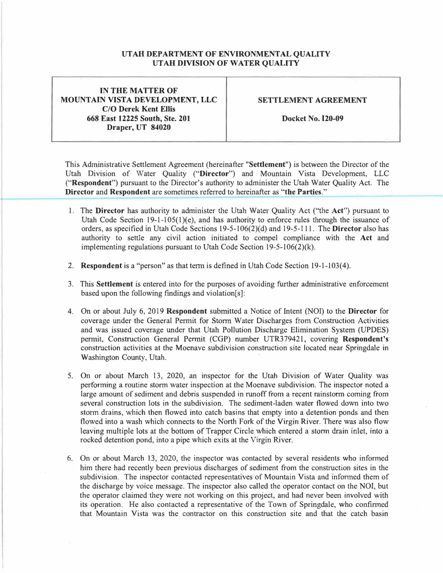## **UTAH DEPARTMENT OF ENVIRONMENTAL QUALITY UTAH DIVISION OF WATER QUALITY**

**IN THE MATTER OF MOUNTAIN VISTA DEVELOPMENT, LLC C/O Derek Kent Ellis 668 East 12225 South, Ste. 201 Draper, UT 84020** 

## **SETTLEMENT AGREEMENT**

**Docket No. 120-09** 

This Administrative Settlement Agreement (hereinafter **"Settlement")** is between the Director of the Utah Division of Water Quality **("Director")** and Mountain Vista Development, LLC **("Respondent")** pursuant to the Director's authority to administer the Utah Water Quality Act. The **Director** and **Respondent** are sometimes referred to hereinafter as **"the Parties."** 

- 1. The **Director** has authority to administer the Utah Water Quality Act ("the **Act")** pursuant to Utah Code Section 19-1-105(1)(e), and has authority to enforce rules through the issuance of orders, as specified in Utah Code Sections 19-5-106(2)( d) and 19-5-111. The **Director** also has authority to settle any civil action initiated to compel compliance with the **Act** and implementing regulations pursuant to Utah Code Section 19-5-106(2)(k).
- 2. **Respondent** is a "person" as that term is defined in Utah Code Section 19-1-103(4).
- 3. This **Settlement** is entered into for the purposes of avoiding further administrative enforcement based upon the following findings and violation[s]:
- 4. On or about July 6, 2019 **Respondent** submitted a Notice of Intent (NOi) to the **Director** for coverage under the General Permit for Storm Water Discharges from Construction Activities and was issued coverage under that Utah Pollution Discharge Elimination System (UPDES) permit, Construction General Permit (CGP) number UTR379421, covering **Respondent's** construction activities at the Moenave subdivision construction site located near Springdale in Washington County, Utah.
- 5. On or about March 13, 2020, an inspector for the Utah Division of Water Quality was performing a routine storm water inspection at the Moenave subdivision. The inspector noted a large amount of sediment and debris suspended in runoff from a recent rainstorm coming from several construction lots in the subdivision. The sediment-laden water flowed down into two storm drains, which then flowed into catch basins that empty into a detention ponds and then flowed into a wash which connects to the North Fork of the Virgin River. There was also flow leaving multiple lots at the bottom of Trapper Circle which entered a storm drain inlet, into a rocked detention pond, into a pipe which exits at the Virgin River.
- 6. On or about March 13, 2020, the inspector was contacted by several residents who informed him there had recently been previous discharges of sediment from the construction sites in the subdivision. The inspector contacted representatives of Mountain Vista and informed them of the discharge by voice message. The inspector also called the operator contact on the NOI, but the operator claimed they were not working on this project, and had never been involved with its operation. He also contacted a representative of the Town of Springdale, who confirmed that Mountain Vista was the contractor on this construction site and that the catch basin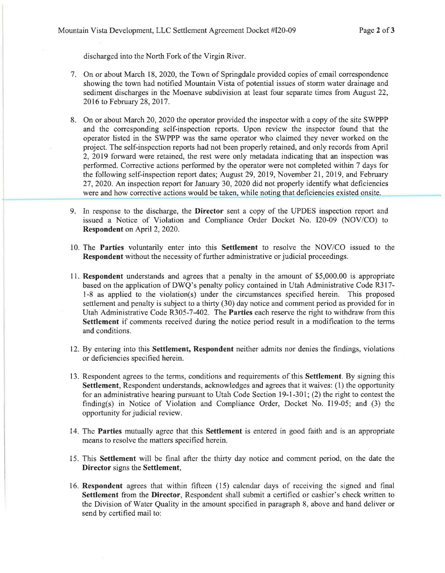discharged into the North Fork of the Virgin River.

- 7. On or about March 18, 2020, the Town of Springdale provided copies of email correspondence showing the town had notified Mountain Vista of potential issues of storm water drainage and sediment discharges in the Moenave subdivision at least four separate times from August 22, 2016 to February 28, 2017.
- 8. On or about March 20, 2020 the operator provided the inspector with a copy of the site SWPPP and the corresponding self-inspection reports. Upon review the inspector found that the operator listed in the SWPPP was the same operator who claimed they never worked on the project. The self-inspection reports had not been properly retained, and only records from April 2, 2019 forward were retained, the rest were only metadata indicating that an inspection was performed. Corrective actions performed by the operator were not completed within 7 days for the following self-inspection report dates; August 29, 2019, November 21, 2019, and February 27, 2020. An inspection report for January 30, 2020 did not properly identify what deficiencies were and how corrective actions would be taken, while noting that deficiencies existed onsite.
- 9. In response to the discharge, the **Director** sent a copy of the UPDES inspection report and issued a Notice of Violation and Compliance Order Docket No. 120-09 (NOV/CO) to **Respondent** on April 2, 2020.
- 10. The Parties voluntarily enter into this Settlement to resolve the NOV/CO issued to the **Respondent** without the necessity of further administrative or judicial proceedings.
- 11 . **Respondent** understands and agrees that a penalty in the amount of \$5,000.00 is appropriate based on the application of DWQ's penalty policy contained in Utah Administrative Code R317-1-8 as applied to the violation(s) under the circumstances specified herein. This proposed settlement and penalty is subject to a thirty (30) day notice and comment period as provided for in Utah Administrative Code R305-7-402. The **Parties** each reserve the right to withdraw from this **Settlement** if comments received during the notice period result in a modification to the terms and conditions.
- 12. By entering into this **Settlement, Respondent** neither admits nor denies the findings, violations or deficiencies specified herein.
- 13. Respondent agrees to the terms, conditions and requirements of this **Settlement.** By signing this **Settlement,** Respondent understands, acknowledges and agrees that it waives: (1) the opportunity for an administrative hearing pursuant to Utah Code Section 19-1-301; (2) the right to contest the finding(s) in Notice of Violation and Compliance Order, Docket No. 119-05; and (3) the opportunity for judicial review.
- 14. The **Parties** mutually agree that this **Settlement** is entered in good faith and is an appropriate means to resolve the matters specified herein.
- 15. This **Settlement** will be final after the thirty day notice and comment period, on the date the **Director** signs the **Settlement,**
- 16. **Respondent** agrees that within fifteen (15) calendar days of receiving the signed and final **Settlement** from the **Director,** Respondent shall submit a certified or cashier's check written to the Division of Water Quality in the amount specified in paragraph 8, above and hand deliver or send by certified mail to: